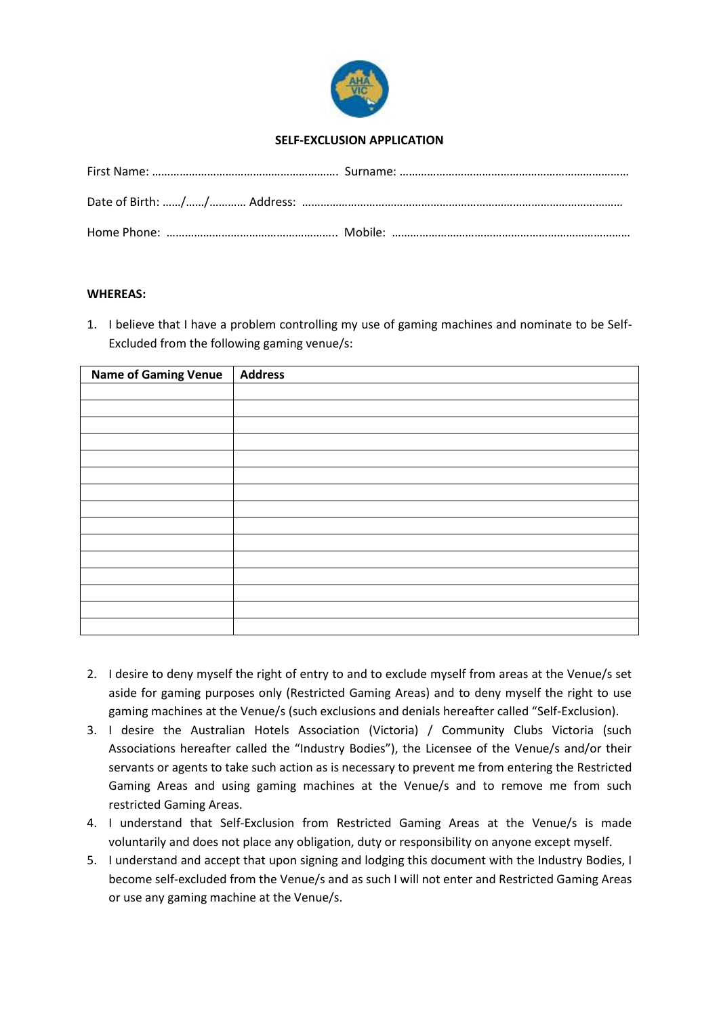

# **SELF-EXCLUSION APPLICATION**

## **WHEREAS:**

1. I believe that I have a problem controlling my use of gaming machines and nominate to be Self-Excluded from the following gaming venue/s:

| <b>Name of Gaming Venue</b> | Address |
|-----------------------------|---------|
|                             |         |
|                             |         |
|                             |         |
|                             |         |
|                             |         |
|                             |         |
|                             |         |
|                             |         |
|                             |         |
|                             |         |
|                             |         |
|                             |         |
|                             |         |
|                             |         |
|                             |         |

- 2. I desire to deny myself the right of entry to and to exclude myself from areas at the Venue/s set aside for gaming purposes only (Restricted Gaming Areas) and to deny myself the right to use gaming machines at the Venue/s (such exclusions and denials hereafter called "Self-Exclusion).
- 3. I desire the Australian Hotels Association (Victoria) / Community Clubs Victoria (such Associations hereafter called the "Industry Bodies"), the Licensee of the Venue/s and/or their servants or agents to take such action as is necessary to prevent me from entering the Restricted Gaming Areas and using gaming machines at the Venue/s and to remove me from such restricted Gaming Areas.
- 4. I understand that Self-Exclusion from Restricted Gaming Areas at the Venue/s is made voluntarily and does not place any obligation, duty or responsibility on anyone except myself.
- 5. I understand and accept that upon signing and lodging this document with the Industry Bodies, I become self-excluded from the Venue/s and as such I will not enter and Restricted Gaming Areas or use any gaming machine at the Venue/s.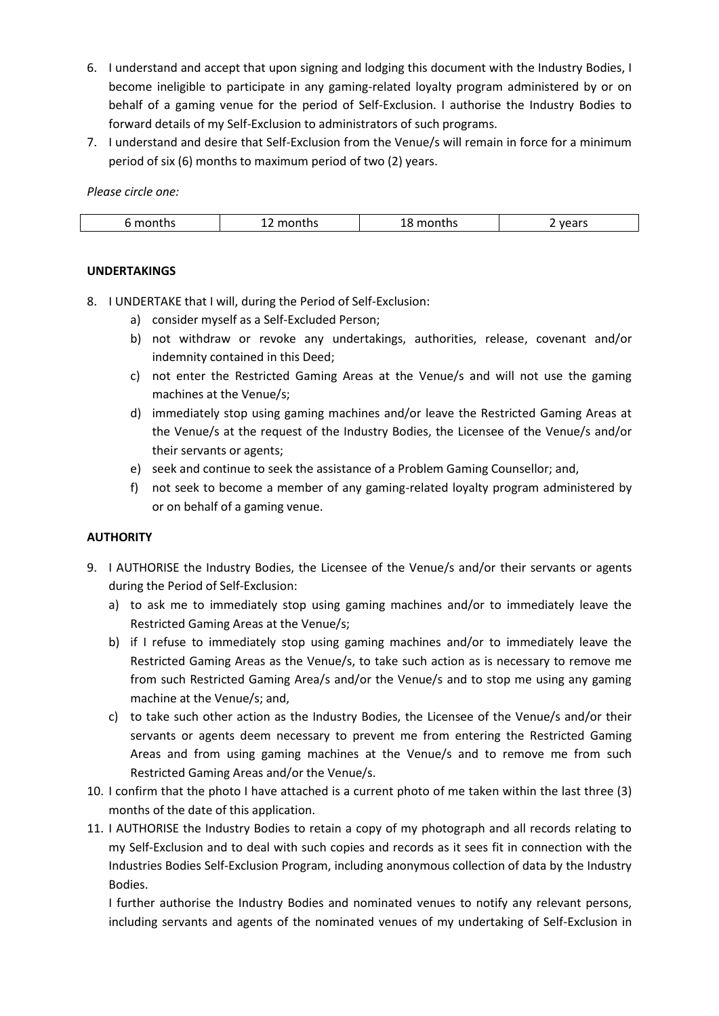- 6. I understand and accept that upon signing and lodging this document with the Industry Bodies, I become ineligible to participate in any gaming-related loyalty program administered by or on behalf of a gaming venue for the period of Self-Exclusion. I authorise the Industry Bodies to forward details of my Self-Exclusion to administrators of such programs.
- 7. I understand and desire that Self-Exclusion from the Venue/s will remain in force for a minimum period of six (6) months to maximum period of two (2) years.

*Please circle one:*

| months | months<br>∸∸ | montns : | vears |
|--------|--------------|----------|-------|

# **UNDERTAKINGS**

- 8. I UNDERTAKE that I will, during the Period of Self-Exclusion:
	- a) consider myself as a Self-Excluded Person;
	- b) not withdraw or revoke any undertakings, authorities, release, covenant and/or indemnity contained in this Deed;
	- c) not enter the Restricted Gaming Areas at the Venue/s and will not use the gaming machines at the Venue/s;
	- d) immediately stop using gaming machines and/or leave the Restricted Gaming Areas at the Venue/s at the request of the Industry Bodies, the Licensee of the Venue/s and/or their servants or agents;
	- e) seek and continue to seek the assistance of a Problem Gaming Counsellor; and,
	- f) not seek to become a member of any gaming-related loyalty program administered by or on behalf of a gaming venue.

## **AUTHORITY**

- 9. I AUTHORISE the Industry Bodies, the Licensee of the Venue/s and/or their servants or agents during the Period of Self-Exclusion:
	- a) to ask me to immediately stop using gaming machines and/or to immediately leave the Restricted Gaming Areas at the Venue/s;
	- b) if I refuse to immediately stop using gaming machines and/or to immediately leave the Restricted Gaming Areas as the Venue/s, to take such action as is necessary to remove me from such Restricted Gaming Area/s and/or the Venue/s and to stop me using any gaming machine at the Venue/s; and,
	- c) to take such other action as the Industry Bodies, the Licensee of the Venue/s and/or their servants or agents deem necessary to prevent me from entering the Restricted Gaming Areas and from using gaming machines at the Venue/s and to remove me from such Restricted Gaming Areas and/or the Venue/s.
- 10. I confirm that the photo I have attached is a current photo of me taken within the last three (3) months of the date of this application.
- 11. I AUTHORISE the Industry Bodies to retain a copy of my photograph and all records relating to my Self-Exclusion and to deal with such copies and records as it sees fit in connection with the Industries Bodies Self-Exclusion Program, including anonymous collection of data by the Industry Bodies.

I further authorise the Industry Bodies and nominated venues to notify any relevant persons, including servants and agents of the nominated venues of my undertaking of Self-Exclusion in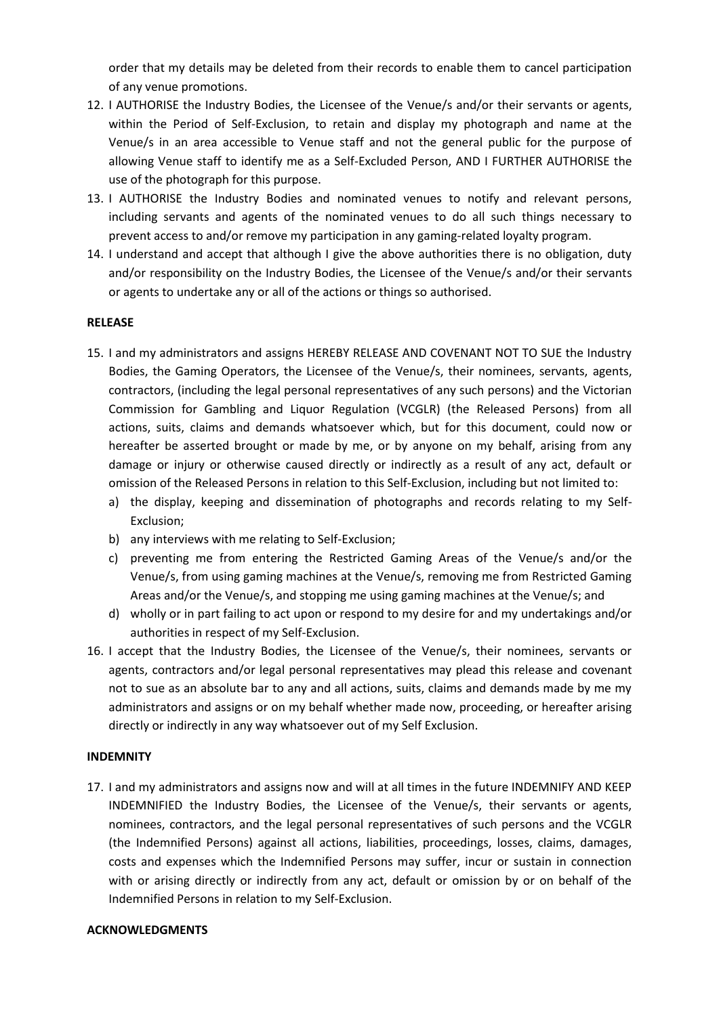order that my details may be deleted from their records to enable them to cancel participation of any venue promotions.

- 12. I AUTHORISE the Industry Bodies, the Licensee of the Venue/s and/or their servants or agents, within the Period of Self-Exclusion, to retain and display my photograph and name at the Venue/s in an area accessible to Venue staff and not the general public for the purpose of allowing Venue staff to identify me as a Self-Excluded Person, AND I FURTHER AUTHORISE the use of the photograph for this purpose.
- 13. I AUTHORISE the Industry Bodies and nominated venues to notify and relevant persons, including servants and agents of the nominated venues to do all such things necessary to prevent access to and/or remove my participation in any gaming-related loyalty program.
- 14. I understand and accept that although I give the above authorities there is no obligation, duty and/or responsibility on the Industry Bodies, the Licensee of the Venue/s and/or their servants or agents to undertake any or all of the actions or things so authorised.

### **RELEASE**

- 15. I and my administrators and assigns HEREBY RELEASE AND COVENANT NOT TO SUE the Industry Bodies, the Gaming Operators, the Licensee of the Venue/s, their nominees, servants, agents, contractors, (including the legal personal representatives of any such persons) and the Victorian Commission for Gambling and Liquor Regulation (VCGLR) (the Released Persons) from all actions, suits, claims and demands whatsoever which, but for this document, could now or hereafter be asserted brought or made by me, or by anyone on my behalf, arising from any damage or injury or otherwise caused directly or indirectly as a result of any act, default or omission of the Released Persons in relation to this Self-Exclusion, including but not limited to:
	- a) the display, keeping and dissemination of photographs and records relating to my Self-Exclusion;
	- b) any interviews with me relating to Self-Exclusion;
	- c) preventing me from entering the Restricted Gaming Areas of the Venue/s and/or the Venue/s, from using gaming machines at the Venue/s, removing me from Restricted Gaming Areas and/or the Venue/s, and stopping me using gaming machines at the Venue/s; and
	- d) wholly or in part failing to act upon or respond to my desire for and my undertakings and/or authorities in respect of my Self-Exclusion.
- 16. I accept that the Industry Bodies, the Licensee of the Venue/s, their nominees, servants or agents, contractors and/or legal personal representatives may plead this release and covenant not to sue as an absolute bar to any and all actions, suits, claims and demands made by me my administrators and assigns or on my behalf whether made now, proceeding, or hereafter arising directly or indirectly in any way whatsoever out of my Self Exclusion.

### **INDEMNITY**

17. I and my administrators and assigns now and will at all times in the future INDEMNIFY AND KEEP INDEMNIFIED the Industry Bodies, the Licensee of the Venue/s, their servants or agents, nominees, contractors, and the legal personal representatives of such persons and the VCGLR (the Indemnified Persons) against all actions, liabilities, proceedings, losses, claims, damages, costs and expenses which the Indemnified Persons may suffer, incur or sustain in connection with or arising directly or indirectly from any act, default or omission by or on behalf of the Indemnified Persons in relation to my Self-Exclusion.

### **ACKNOWLEDGMENTS**